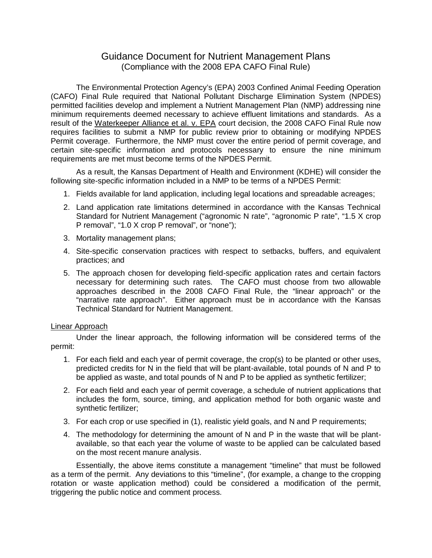## Guidance Document for Nutrient Management Plans (Compliance with the 2008 EPA CAFO Final Rule)

The Environmental Protection Agency's (EPA) 2003 Confined Animal Feeding Operation (CAFO) Final Rule required that National Pollutant Discharge Elimination System (NPDES) permitted facilities develop and implement a Nutrient Management Plan (NMP) addressing nine minimum requirements deemed necessary to achieve effluent limitations and standards. As a result of the Waterkeeper Alliance et al. v. EPA court decision, the 2008 CAFO Final Rule now requires facilities to submit a NMP for public review prior to obtaining or modifying NPDES Permit coverage. Furthermore, the NMP must cover the entire period of permit coverage, and certain site-specific information and protocols necessary to ensure the nine minimum requirements are met must become terms of the NPDES Permit.

As a result, the Kansas Department of Health and Environment (KDHE) will consider the following site-specific information included in a NMP to be terms of a NPDES Permit:

- 1. Fields available for land application, including legal locations and spreadable acreages;
- 2. Land application rate limitations determined in accordance with the Kansas Technical Standard for Nutrient Management ("agronomic N rate", "agronomic P rate", "1.5 X crop P removal", "1.0 X crop P removal", or "none");
- 3. Mortality management plans;
- 4. Site-specific conservation practices with respect to setbacks, buffers, and equivalent practices; and
- 5. The approach chosen for developing field-specific application rates and certain factors necessary for determining such rates. The CAFO must choose from two allowable approaches described in the 2008 CAFO Final Rule, the "linear approach" or the "narrative rate approach". Either approach must be in accordance with the Kansas Technical Standard for Nutrient Management.

## Linear Approach

Under the linear approach, the following information will be considered terms of the permit:

- 1. For each field and each year of permit coverage, the crop(s) to be planted or other uses, predicted credits for N in the field that will be plant-available, total pounds of N and P to be applied as waste, and total pounds of N and P to be applied as synthetic fertilizer;
- 2. For each field and each year of permit coverage, a schedule of nutrient applications that includes the form, source, timing, and application method for both organic waste and synthetic fertilizer;
- 3. For each crop or use specified in (1), realistic yield goals, and N and P requirements;
- 4. The methodology for determining the amount of N and P in the waste that will be plantavailable, so that each year the volume of waste to be applied can be calculated based on the most recent manure analysis.

Essentially, the above items constitute a management "timeline" that must be followed as a term of the permit. Any deviations to this "timeline", (for example, a change to the cropping rotation or waste application method) could be considered a modification of the permit, triggering the public notice and comment process.